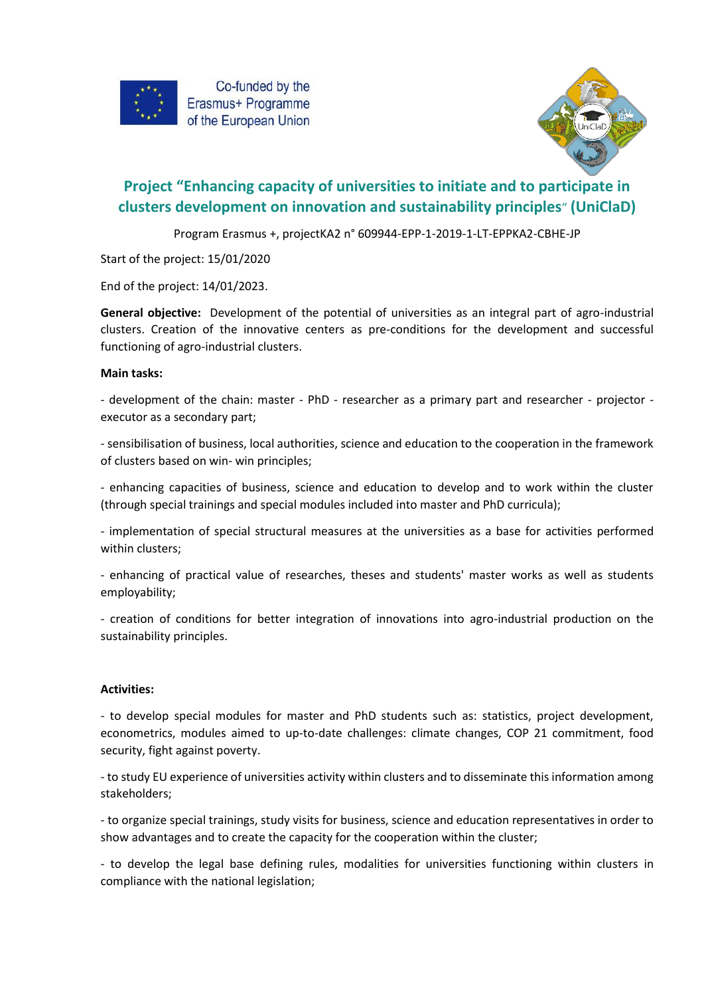



# **Project "Enhancing capacity of universities to initiate and to participate in clusters development on innovation and sustainability principles**" **(UniClaD)**

Program Erasmus +, projectKA2 n° 609944-EPP-1-2019-1-LT-EPPKA2-CBHE-JP

Start of the project: 15/01/2020

End of the project: 14/01/2023.

**General objective:** Development of the potential of universities as an integral part of agro-industrial clusters. Creation of the innovative centers as pre-conditions for the development and successful functioning of agro-industrial clusters.

# **Main tasks:**

- development of the chain: master - PhD - researcher as a primary part and researcher - projector executor as a secondary part;

- sensibilisation of business, local authorities, science and education to the cooperation in the framework of clusters based on win- win principles;

- enhancing capacities of business, science and education to develop and to work within the cluster (through special trainings and special modules included into master and PhD curricula);

- implementation of special structural measures at the universities as a base for activities performed within clusters;

- enhancing of practical value of researches, theses and students' master works as well as students employability;

- creation of conditions for better integration of innovations into agro-industrial production on the sustainability principles.

## **Activities:**

- to develop special modules for master and PhD students such as: statistics, project development, econometrics, modules aimed to up-to-date challenges: climate changes, COP 21 commitment, food security, fight against poverty.

- to study EU experience of universities activity within clusters and to disseminate this information among stakeholders;

- to organize special trainings, study visits for business, science and education representatives in order to show advantages and to create the capacity for the cooperation within the cluster;

- to develop the legal base defining rules, modalities for universities functioning within clusters in compliance with the national legislation;